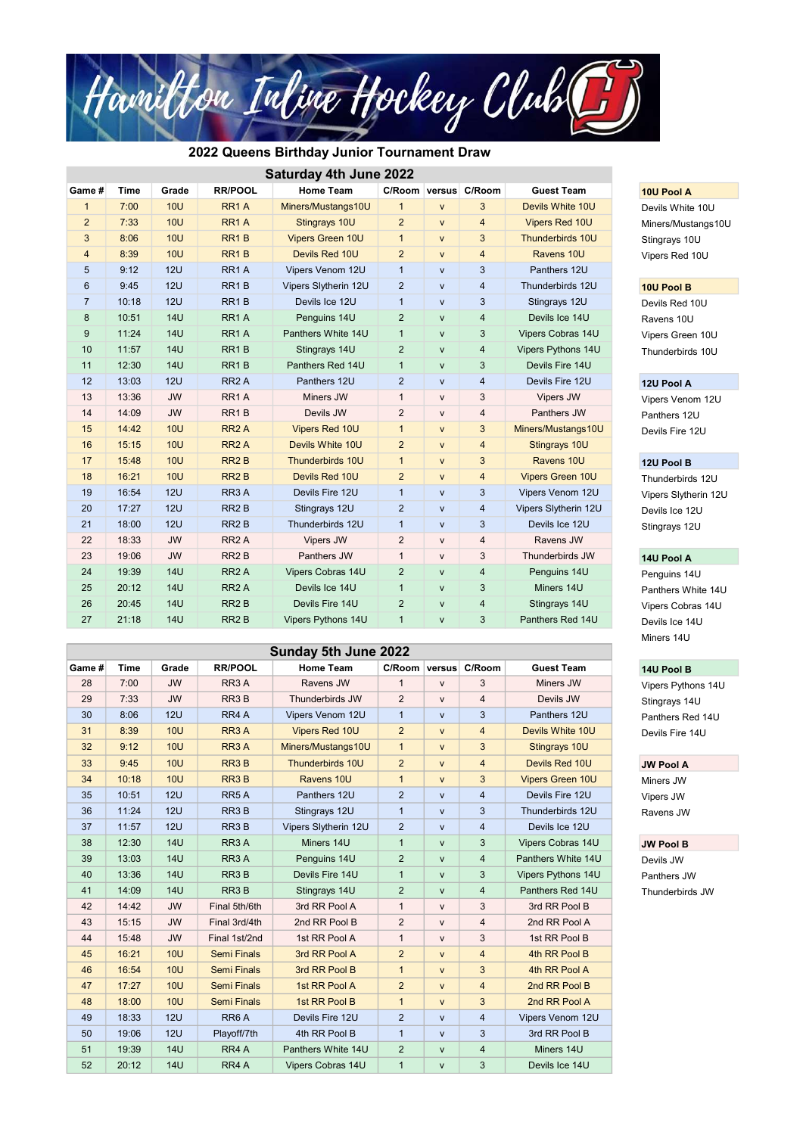Panthers White 14U Vipers Cobras 14U Miners 14U

Vipers Pythons 14U

| <b>Saturday 4th June 2022</b> |             |            |                   |                         |                |              |                         |                       |                                   |
|-------------------------------|-------------|------------|-------------------|-------------------------|----------------|--------------|-------------------------|-----------------------|-----------------------------------|
| Game #                        | <b>Time</b> | Grade      | <b>RR/POOL</b>    | <b>Home Team</b>        |                |              | C/Room versus C/Room    | <b>Guest Team</b>     | 10U Pool A                        |
| $\mathbf{1}$                  | 7:00        | <b>10U</b> | RR <sub>1</sub> A | Miners/Mustangs10U      | $\mathbf{1}$   | $\mathsf{V}$ | 3                       | Devils White 10U      | Devils White 10U                  |
| $\overline{a}$                | 7:33        | <b>10U</b> | RR <sub>1</sub> A | Stingrays 10U           | $\overline{2}$ | $\mathsf{V}$ | 4                       | <b>Vipers Red 10U</b> | Miners/Mustangs1<br>Stingrays 10U |
| 3                             | 8:06        | <b>10U</b> | RR <sub>1</sub> B | <b>Vipers Green 10U</b> | $\mathbf{1}$   | $\mathsf{V}$ | 3                       | Thunderbirds 10U      |                                   |
| 4                             | 8:39        | <b>10U</b> | RR <sub>1</sub> B | Devils Red 10U          | $\overline{2}$ | $\mathsf{V}$ | $\overline{4}$          | Ravens 10U            | Vipers Red 10U                    |
| 5                             | 9:12        | <b>12U</b> | RR <sub>1</sub> A | Vipers Venom 12U        | $\mathbf{1}$   | V            | 3                       | Panthers 12U          |                                   |
| $\,6\,$                       | 9:45        | <b>12U</b> | RR <sub>1</sub> B | Vipers Slytherin 12U    | $\overline{2}$ | $\mathsf{V}$ | $\overline{4}$          | Thunderbirds 12U      | 10U Pool B                        |
| $\overline{7}$                | 10:18       | 12U        | RR <sub>1</sub> B | Devils Ice 12U          | $\mathbf{1}$   | $\mathsf{V}$ | 3                       | Stingrays 12U         | Devils Red 10U                    |
| 8                             | 10:51       | <b>14U</b> | RR <sub>1</sub> A | Penguins 14U            | $\overline{2}$ | $\mathsf{V}$ | $\overline{4}$          | Devils Ice 14U        | Ravens 10U                        |
| 9                             | 11:24       | <b>14U</b> | RR <sub>1</sub> A | Panthers White 14U      | $\mathbf{1}$   | $\mathsf{V}$ | 3                       | Vipers Cobras 14U     | Vipers Green 10U                  |
| 10                            | 11:57       | <b>14U</b> | RR <sub>1</sub> B | Stingrays 14U           | $\overline{2}$ | $\mathsf{V}$ | $\overline{\mathbf{4}}$ | Vipers Pythons 14U    | Thunderbirds 10U                  |
| 11                            | 12:30       | <b>14U</b> | RR <sub>1</sub> B | Panthers Red 14U        | $\mathbf{1}$   | $\mathsf{V}$ | 3                       | Devils Fire 14U       |                                   |
| 12                            | 13:03       | <b>12U</b> | RR <sub>2</sub> A | Panthers 12U            | $\overline{2}$ | $\mathsf{V}$ | $\overline{\mathbf{4}}$ | Devils Fire 12U       | 12U Pool A                        |
| 13                            | 13:36       | <b>JW</b>  | RR <sub>1</sub> A | Miners JW               | $\mathbf{1}$   | V            | 3                       | Vipers JW             | Vipers Venom 12L                  |
| 14                            | 14:09       | <b>JW</b>  | RR <sub>1</sub> B | Devils JW               | $\overline{2}$ | V            | $\overline{\mathbf{4}}$ | Panthers JW           | Panthers 12U<br>Devils Fire 12U   |
| 15                            | 14:42       | <b>10U</b> | RR <sub>2</sub> A | <b>Vipers Red 10U</b>   | $\mathbf{1}$   | $\mathsf{V}$ | 3                       | Miners/Mustangs10U    |                                   |
| 16                            | 15:15       | <b>10U</b> | RR <sub>2</sub> A | Devils White 10U        | $\overline{2}$ | V            | $\overline{4}$          | Stingrays 10U         |                                   |
| 17                            | 15:48       | <b>10U</b> | RR <sub>2</sub> B | Thunderbirds 10U        | $\mathbf{1}$   | V            | 3                       | Ravens 10U            | 12U Pool B                        |
| 18                            | 16:21       | <b>10U</b> | RR <sub>2</sub> B | Devils Red 10U          | $\overline{2}$ | $\mathsf{V}$ | $\overline{\mathbf{4}}$ | Vipers Green 10U      | Thunderbirds 12U                  |
| 19                            | 16:54       | 12U        | RR <sub>3</sub> A | Devils Fire 12U         | $\mathbf{1}$   | $\mathsf{V}$ | 3                       | Vipers Venom 12U      | Vipers Slytherin 12               |
| 20                            | 17:27       | 12U        | RR <sub>2</sub> B | Stingrays 12U           | $\overline{2}$ | $\mathsf{V}$ | $\overline{4}$          | Vipers Slytherin 12U  | Devils Ice 12U                    |
| 21                            | 18:00       | 12U        | RR <sub>2</sub> B | Thunderbirds 12U        | $\mathbf{1}$   | $\mathsf{V}$ | $\mathbf{3}$            | Devils Ice 12U        | Stingrays 12U                     |
| 22                            | 18:33       | <b>JW</b>  | RR <sub>2</sub> A | Vipers JW               | $\overline{c}$ | $\mathsf{V}$ | $\overline{\mathbf{4}}$ | Ravens JW             |                                   |
| 23                            | 19:06       | <b>JW</b>  | RR <sub>2</sub> B | Panthers JW             | $\mathbf{1}$   | $\mathsf{V}$ | 3                       | Thunderbirds JW       | 14U Pool A                        |
| 24                            | 19:39       | <b>14U</b> | RR <sub>2</sub> A | Vipers Cobras 14U       | $\overline{2}$ | $\mathsf{V}$ | $\overline{\mathbf{4}}$ | Penguins 14U          | Penguins 14U                      |
| 25                            | 20:12       | <b>14U</b> | RR <sub>2</sub> A | Devils Ice 14U          | $\mathbf{1}$   | $\mathsf{V}$ | $\mathfrak{S}$          | Miners 14U            | Panthers White 14                 |
| 26                            | 20:45       | <b>14U</b> | RR <sub>2</sub> B | Devils Fire 14U         | $\overline{2}$ | $\mathsf{V}$ | 4                       | Stingrays 14U         | Vipers Cobras 14L                 |
| 27                            | 21:18       | <b>14U</b> | RR <sub>2</sub> B | Vipers Pythons 14U      | $\mathbf{1}$   | $\mathsf{V}$ | 3                       | Panthers Red 14U      | Devils Ice 14U                    |

| <b>Sunday 5th June 2022</b> |             |            |                    |                      |                |              |                         |                         |                    |
|-----------------------------|-------------|------------|--------------------|----------------------|----------------|--------------|-------------------------|-------------------------|--------------------|
| Game #                      | <b>Time</b> | Grade      | <b>RR/POOL</b>     | <b>Home Team</b>     | C/Room versus  |              | C/Room                  | <b>Guest Team</b>       | 14U Pool B         |
| 28                          | 7:00        | <b>JW</b>  | RR <sub>3</sub> A  | Ravens JW            | $\mathbf{1}$   | $\mathsf{V}$ | 3                       | Miners JW               | Vipers Pythons 14l |
| 29                          | 7:33        | <b>JW</b>  | RR <sub>3</sub> B  | Thunderbirds JW      | $\overline{2}$ | $\mathsf{V}$ | 4                       | Devils JW               | Stingrays 14U      |
| 30                          | 8:06        | 12U        | RR4 A              | Vipers Venom 12U     | $\mathbf{1}$   | $\mathsf{V}$ | 3                       | Panthers 12U            | Panthers Red 14U   |
| 31                          | 8:39        | <b>10U</b> | RR <sub>3</sub> A  | Vipers Red 10U       | $\overline{2}$ | $\mathsf{V}$ | $\overline{4}$          | Devils White 10U        | Devils Fire 14U    |
| 32                          | 9:12        | <b>10U</b> | RR <sub>3</sub> A  | Miners/Mustangs10U   | $\mathbf{1}$   | $\mathsf{V}$ | 3                       | Stingrays 10U           |                    |
| 33                          | 9:45        | <b>10U</b> | RR <sub>3</sub> B  | Thunderbirds 10U     | $\overline{2}$ | $\mathsf{V}$ | $\overline{\mathbf{4}}$ | Devils Red 10U          | <b>JW Pool A</b>   |
| 34                          | 10:18       | <b>10U</b> | RR <sub>3</sub> B  | Ravens 10U           | $\mathbf{1}$   | $\mathsf{V}$ | 3                       | <b>Vipers Green 10U</b> | Miners JW          |
| 35                          | 10:51       | 12U        | RR <sub>5</sub> A  | Panthers 12U         | $\overline{2}$ | $\mathsf{V}$ | $\overline{4}$          | Devils Fire 12U         | Vipers JW          |
| 36                          | 11:24       | 12U        | RR <sub>3</sub> B  | Stingrays 12U        | $\mathbf{1}$   | ${\sf V}$    | 3                       | Thunderbirds 12U        | Ravens JW          |
| 37                          | 11:57       | 12U        | RR <sub>3</sub> B  | Vipers Slytherin 12U | $\overline{2}$ | $\mathsf{V}$ | $\overline{4}$          | Devils Ice 12U          |                    |
| 38                          | 12:30       | <b>14U</b> | RR <sub>3</sub> A  | Miners 14U           | $\mathbf{1}$   | $\mathsf{V}$ | 3                       | Vipers Cobras 14U       | <b>JW Pool B</b>   |
| 39                          | 13:03       | <b>14U</b> | RR <sub>3</sub> A  | Penguins 14U         | $\overline{2}$ | $\mathsf{V}$ | $\overline{4}$          | Panthers White 14U      | Devils JW          |
| 40                          | 13:36       | <b>14U</b> | RR <sub>3</sub> B  | Devils Fire 14U      | $\mathbf{1}$   | $\mathsf{V}$ | 3                       | Vipers Pythons 14U      | Panthers JW        |
| 41                          | 14:09       | <b>14U</b> | RR <sub>3</sub> B  | Stingrays 14U        | $\overline{2}$ | $\mathsf{V}$ | $\overline{\mathbf{4}}$ | Panthers Red 14U        | Thunderbirds JW    |
| 42                          | 14:42       | <b>JW</b>  | Final 5th/6th      | 3rd RR Pool A        | $\mathbf{1}$   | $\mathsf{V}$ | 3                       | 3rd RR Pool B           |                    |
| 43                          | 15:15       | <b>JW</b>  | Final 3rd/4th      | 2nd RR Pool B        | $\overline{2}$ | $\mathsf{V}$ | 4                       | 2nd RR Pool A           |                    |
| 44                          | 15:48       | <b>JW</b>  | Final 1st/2nd      | 1st RR Pool A        | $\mathbf{1}$   | $\mathsf{V}$ | 3                       | 1st RR Pool B           |                    |
| 45                          | 16:21       | <b>10U</b> | <b>Semi Finals</b> | 3rd RR Pool A        | $\overline{2}$ | $\mathsf{V}$ | $\overline{4}$          | 4th RR Pool B           |                    |
| 46                          | 16:54       | <b>10U</b> | <b>Semi Finals</b> | 3rd RR Pool B        | $\mathbf{1}$   | $\mathsf{V}$ | 3                       | 4th RR Pool A           |                    |
| 47                          | 17:27       | 10U        | <b>Semi Finals</b> | 1st RR Pool A        | $\overline{2}$ | $\mathsf{V}$ | $\overline{4}$          | 2nd RR Pool B           |                    |
| 48                          | 18:00       | 10U        | <b>Semi Finals</b> | 1st RR Pool B        | $\mathbf{1}$   | $\mathsf{V}$ | 3                       | 2nd RR Pool A           |                    |
| 49                          | 18:33       | 12U        | RR <sub>6</sub> A  | Devils Fire 12U      | $\overline{2}$ | $\mathsf{V}$ | $\overline{4}$          | Vipers Venom 12U        |                    |
| 50                          | 19:06       | 12U        | Playoff/7th        | 4th RR Pool B        | $\mathbf{1}$   | $\mathsf{V}$ | 3                       | 3rd RR Pool B           |                    |
| 51                          | 19:39       | <b>14U</b> | RR4 A              | Panthers White 14U   | $\overline{2}$ | $\mathsf{V}$ | $\overline{4}$          | Miners 14U              |                    |
| 52                          | 20:12       | <b>14U</b> | RR4 A              | Vipers Cobras 14U    | $\mathbf{1}$   | $\mathsf{V}$ | 3                       | Devils Ice 14U          |                    |

Devils White 10U Miners/Mustangs10U

Vipers Slytherin 12U



# 2022 Queens Birthday Junior Tournament Draw